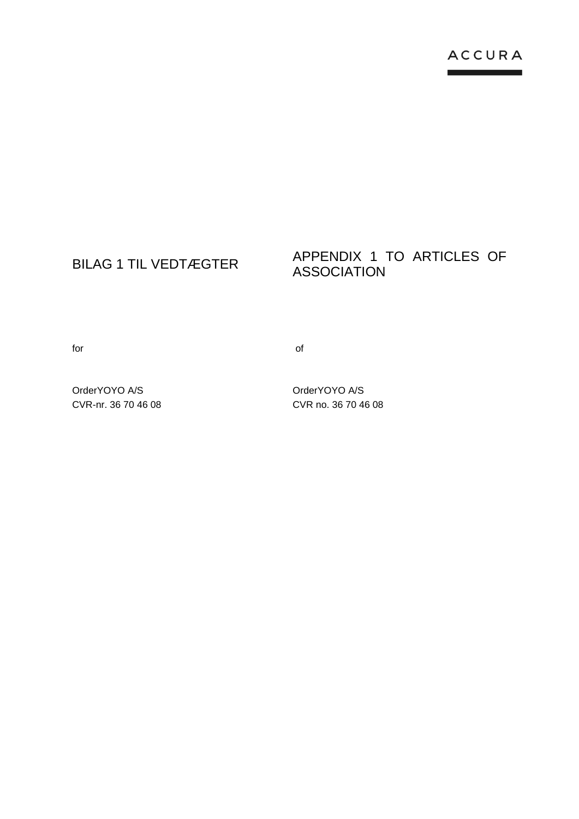# BILAG 1 TIL VEDTÆGTER<br>ASSOCIATION ASSOCIATION

for the contract of the contract of  $\sim$ 

OrderYOYO A/S CVR-nr. 36 70 46 08 OrderYOYO A/S CVR no. 36 70 46 08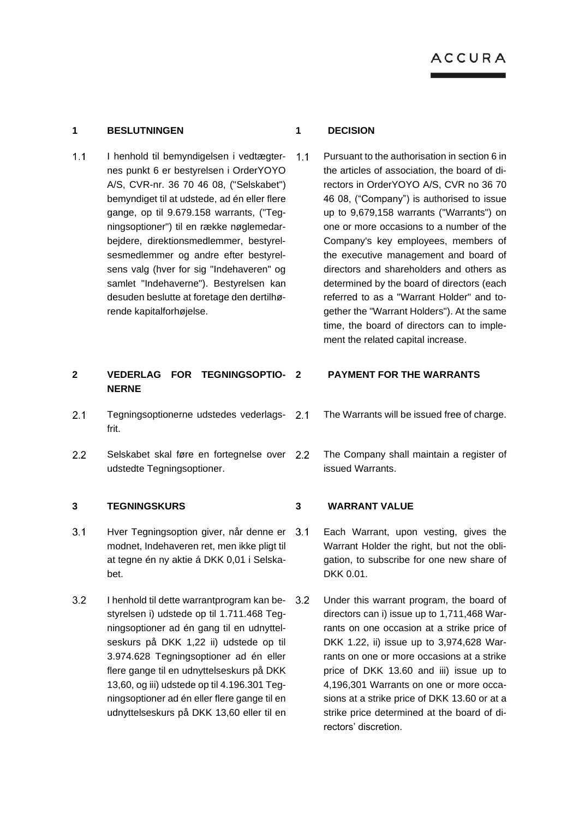### **1 BESLUTNINGEN 1 DECISION**

 $1.1$ I henhold til bemyndigelsen i vedtægter- 1.1 nes punkt 6 er bestyrelsen i OrderYOYO A/S, CVR-nr. 36 70 46 08, ("Selskabet") bemyndiget til at udstede, ad én eller flere gange, op til 9.679.158 warrants, ("Tegningsoptioner") til en række nøglemedarbejdere, direktionsmedlemmer, bestyrelsesmedlemmer og andre efter bestyrelsens valg (hver for sig "Indehaveren" og samlet "Indehaverne"). Bestyrelsen kan desuden beslutte at foretage den dertilhørende kapitalforhøjelse.

# **2 VEDERLAG FOR TEGNINGSOPTIO-NERNE**

- $2.1$ Tegningsoptionerne udstedes vederlagsfrit.
- $2.2$ Selskabet skal føre en fortegnelse over 2.2 udstedte Tegningsoptioner.

# **3 TEGNINGSKURS 3 WARRANT VALUE**

- $3.1$ Hver Tegningsoption giver, når denne er modnet, Indehaveren ret, men ikke pligt til at tegne én ny aktie á DKK 0,01 i Selskabet.
- $3.2$ I henhold til dette warrantprogram kan bestyrelsen i) udstede op til 1.711.468 Tegningsoptioner ad én gang til en udnyttelseskurs på DKK 1,22 ii) udstede op til 3.974.628 Tegningsoptioner ad én eller flere gange til en udnyttelseskurs på DKK 13,60, og iii) udstede op til 4.196.301 Tegningsoptioner ad én eller flere gange til en udnyttelseskurs på DKK 13,60 eller til en

Pursuant to the authorisation in section 6 in the articles of association, the board of directors in OrderYOYO A/S, CVR no 36 70 46 08, ("Company") is authorised to issue up to 9,679,158 warrants ("Warrants") on one or more occasions to a number of the Company's key employees, members of the executive management and board of directors and shareholders and others as determined by the board of directors (each referred to as a "Warrant Holder" and together the "Warrant Holders"). At the same time, the board of directors can to implement the related capital increase.

### **2 PAYMENT FOR THE WARRANTS**

- The Warrants will be issued free of charge.
- The Company shall maintain a register of issued Warrants.

- Each Warrant, upon vesting, gives the Warrant Holder the right, but not the obligation, to subscribe for one new share of DKK 0.01.
- Under this warrant program, the board of directors can i) issue up to 1,711,468 Warrants on one occasion at a strike price of DKK 1.22, ii) issue up to 3,974,628 Warrants on one or more occasions at a strike price of DKK 13.60 and iii) issue up to 4,196,301 Warrants on one or more occasions at a strike price of DKK 13.60 or at a strike price determined at the board of directors' discretion.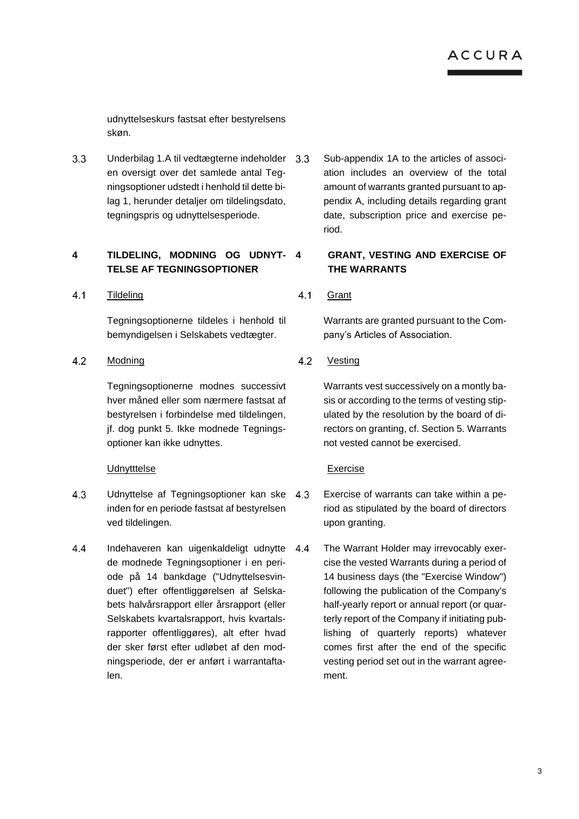udnyttelseskurs fastsat efter bestyrelsens skøn.

 $3.3$ Underbilag 1.A til vedtægterne indeholder en oversigt over det samlede antal Tegningsoptioner udstedt i henhold til dette bilag 1, herunder detaljer om tildelingsdato, tegningspris og udnyttelsesperiode.

# **4 TILDELING, MODNING OG UDNYT-TELSE AF TEGNINGSOPTIONER**

 $4.1$ **Tildeling** 

> Tegningsoptionerne tildeles i henhold til bemyndigelsen i Selskabets vedtægter.

### $4.2$ Modning

Tegningsoptionerne modnes successivt hver måned eller som nærmere fastsat af bestyrelsen i forbindelse med tildelingen, jf. dog punkt [5.](#page-4-0) Ikke modnede Tegningsoptioner kan ikke udnyttes.

# Udnytttelse

- 4.3 Udnyttelse af Tegningsoptioner kan ske inden for en periode fastsat af bestyrelsen ved tildelingen.
- 4.4 Indehaveren kan uigenkaldeligt udnytte de modnede Tegningsoptioner i en periode på 14 bankdage ("Udnyttelsesvinduet") efter offentliggørelsen af Selskabets halvårsrapport eller årsrapport (eller Selskabets kvartalsrapport, hvis kvartalsrapporter offentliggøres), alt efter hvad der sker først efter udløbet af den modningsperiode, der er anført i warrantaftalen.

Sub-appendix 1A to the articles of association includes an overview of the total amount of warrants granted pursuant to appendix A, including details regarding grant date, subscription price and exercise period.

# **4 GRANT, VESTING AND EXERCISE OF THE WARRANTS**

 $4.1$ **Grant** 

> Warrants are granted pursuant to the Company's Articles of Association.

### $4.2$ Vesting

Warrants vest successively on a montly basis or according to the terms of vesting stipulated by the resolution by the board of directors on granting, cf. Sectio[n 5.](#page-4-0) Warrants not vested cannot be exercised.

# Exercise

- Exercise of warrants can take within a period as stipulated by the board of directors upon granting.
- The Warrant Holder may irrevocably exercise the vested Warrants during a period of 14 business days (the "Exercise Window") following the publication of the Company's half-yearly report or annual report (or quarterly report of the Company if initiating publishing of quarterly reports) whatever comes first after the end of the specific vesting period set out in the warrant agreement.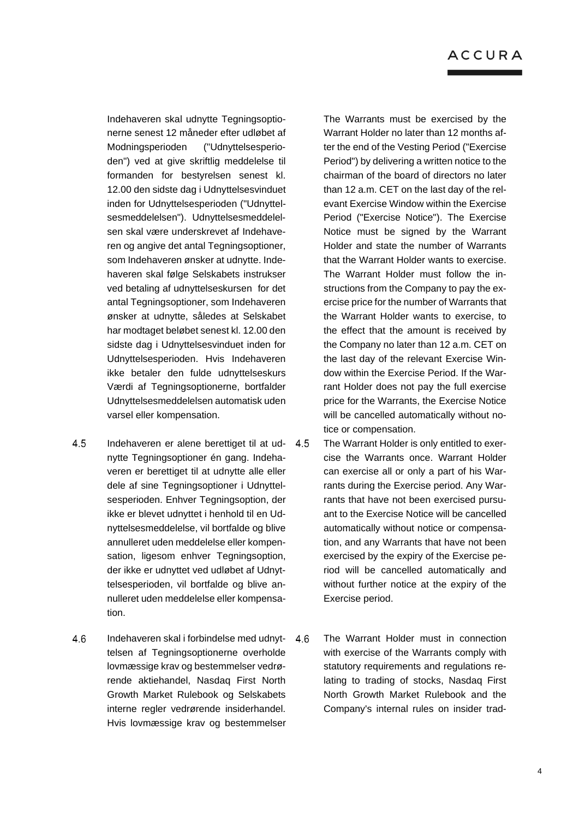Indehaveren skal udnytte Tegningsoptionerne senest 12 måneder efter udløbet af Modningsperioden ("Udnyttelsesperioden") ved at give skriftlig meddelelse til formanden for bestyrelsen senest kl. 12.00 den sidste dag i Udnyttelsesvinduet inden for Udnyttelsesperioden ("Udnyttelsesmeddelelsen"). Udnyttelsesmeddelelsen skal være underskrevet af Indehaveren og angive det antal Tegningsoptioner, som Indehaveren ønsker at udnytte. Indehaveren skal følge Selskabets instrukser ved betaling af udnyttelseskursen for det antal Tegningsoptioner, som Indehaveren ønsker at udnytte, således at Selskabet har modtaget beløbet senest kl. 12.00 den sidste dag i Udnyttelsesvinduet inden for Udnyttelsesperioden. Hvis Indehaveren ikke betaler den fulde udnyttelseskurs Værdi af Tegningsoptionerne, bortfalder Udnyttelsesmeddelelsen automatisk uden varsel eller kompensation.

- 4.5 Indehaveren er alene berettiget til at udnytte Tegningsoptioner én gang. Indehaveren er berettiget til at udnytte alle eller dele af sine Tegningsoptioner i Udnyttelsesperioden. Enhver Tegningsoption, der ikke er blevet udnyttet i henhold til en Udnyttelsesmeddelelse, vil bortfalde og blive annulleret uden meddelelse eller kompensation, ligesom enhver Tegningsoption, der ikke er udnyttet ved udløbet af Udnyttelsesperioden, vil bortfalde og blive annulleret uden meddelelse eller kompensation.
- 4.6 Indehaveren skal i forbindelse med udnyttelsen af Tegningsoptionerne overholde lovmæssige krav og bestemmelser vedrørende aktiehandel, Nasdaq First North Growth Market Rulebook og Selskabets interne regler vedrørende insiderhandel. Hvis lovmæssige krav og bestemmelser

The Warrants must be exercised by the Warrant Holder no later than 12 months after the end of the Vesting Period ("Exercise Period") by delivering a written notice to the chairman of the board of directors no later than 12 a.m. CET on the last day of the relevant Exercise Window within the Exercise Period ("Exercise Notice"). The Exercise Notice must be signed by the Warrant Holder and state the number of Warrants that the Warrant Holder wants to exercise. The Warrant Holder must follow the instructions from the Company to pay the exercise price for the number of Warrants that the Warrant Holder wants to exercise, to the effect that the amount is received by the Company no later than 12 a.m. CET on the last day of the relevant Exercise Window within the Exercise Period. If the Warrant Holder does not pay the full exercise price for the Warrants, the Exercise Notice will be cancelled automatically without notice or compensation.

- The Warrant Holder is only entitled to exercise the Warrants once. Warrant Holder can exercise all or only a part of his Warrants during the Exercise period. Any Warrants that have not been exercised pursuant to the Exercise Notice will be cancelled automatically without notice or compensation, and any Warrants that have not been exercised by the expiry of the Exercise period will be cancelled automatically and without further notice at the expiry of the Exercise period.
- The Warrant Holder must in connection with exercise of the Warrants comply with statutory requirements and regulations relating to trading of stocks, Nasdaq First North Growth Market Rulebook and the Company's internal rules on insider trad-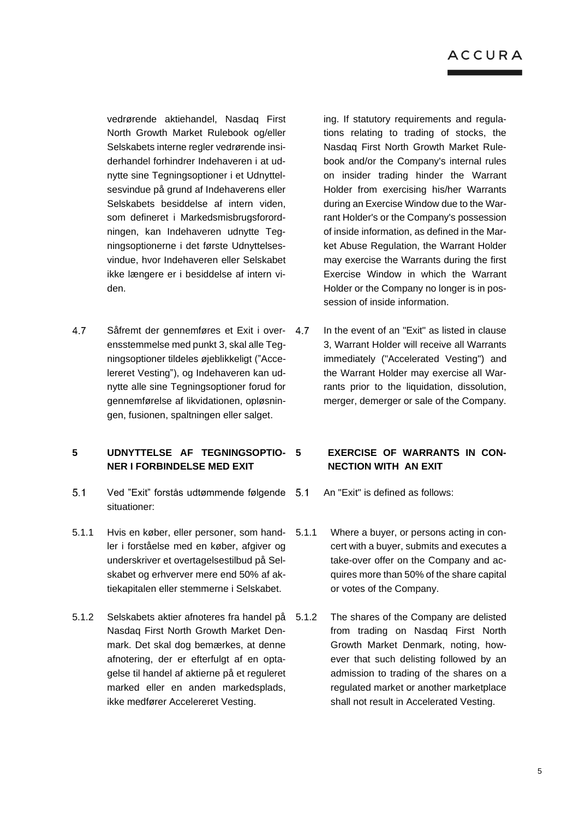vedrørende aktiehandel, Nasdaq First North Growth Market Rulebook og/eller Selskabets interne regler vedrørende insiderhandel forhindrer Indehaveren i at udnytte sine Tegningsoptioner i et Udnyttelsesvindue på grund af Indehaverens eller Selskabets besiddelse af intern viden, som defineret i Markedsmisbrugsforordningen, kan Indehaveren udnytte Tegningsoptionerne i det første Udnyttelsesvindue, hvor Indehaveren eller Selskabet ikke længere er i besiddelse af intern viden.

4.7 Såfremt der gennemføres et Exit i over- 4.7 ensstemmelse med punkt 3, skal alle Tegningsoptioner tildeles øjeblikkeligt ("Accelereret Vesting"), og Indehaveren kan udnytte alle sine Tegningsoptioner forud for gennemførelse af likvidationen, opløsningen, fusionen, spaltningen eller salget.

# **5 UDNYTTELSE AF TEGNINGSOPTIO-NER I FORBINDELSE MED EXIT**

- $5.1$ Ved "Exit" forstås udtømmende følgende situationer:
- 5.1.1 Hvis en køber, eller personer, som handler i forståelse med en køber, afgiver og underskriver et overtagelsestilbud på Selskabet og erhverver mere end 50% af aktiekapitalen eller stemmerne i Selskabet.
- 5.1.2 Selskabets aktier afnoteres fra handel på Nasdaq First North Growth Market Denmark. Det skal dog bemærkes, at denne afnotering, der er efterfulgt af en optagelse til handel af aktierne på et reguleret marked eller en anden markedsplads, ikke medfører Accelereret Vesting.

ing. If statutory requirements and regulations relating to trading of stocks, the Nasdaq First North Growth Market Rulebook and/or the Company's internal rules on insider trading hinder the Warrant Holder from exercising his/her Warrants during an Exercise Window due to the Warrant Holder's or the Company's possession of inside information, as defined in the Market Abuse Regulation, the Warrant Holder may exercise the Warrants during the first Exercise Window in which the Warrant Holder or the Company no longer is in possession of inside information.

In the event of an "Exit" as listed in clause 3, Warrant Holder will receive all Warrants immediately ("Accelerated Vesting") and the Warrant Holder may exercise all Warrants prior to the liquidation, dissolution, merger, demerger or sale of the Company.

# <span id="page-4-0"></span>**EXERCISE OF WARRANTS IN CON-NECTION WITH AN EXIT**

- An "Exit" is defined as follows:
- Where a buyer, or persons acting in concert with a buyer, submits and executes a take-over offer on the Company and acquires more than 50% of the share capital or votes of the Company.
- The shares of the Company are delisted from trading on Nasdaq First North Growth Market Denmark, noting, however that such delisting followed by an admission to trading of the shares on a regulated market or another marketplace shall not result in Accelerated Vesting.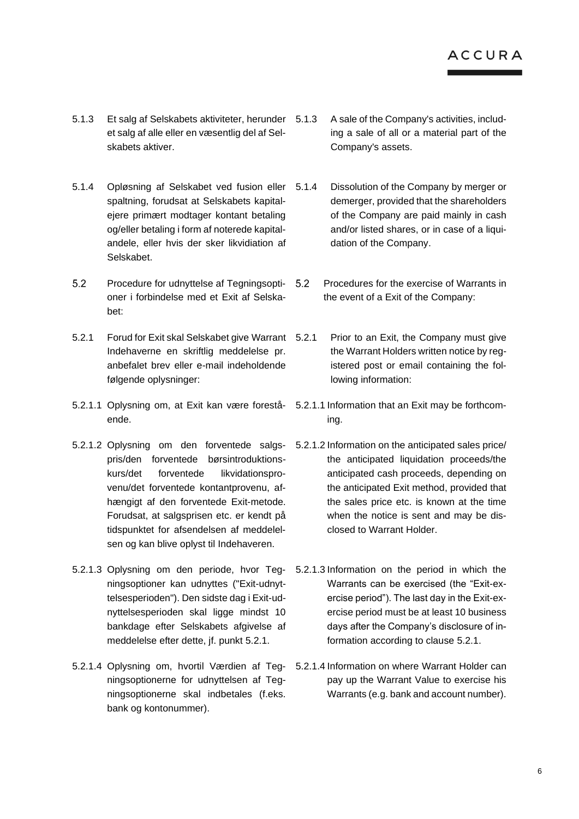- 5.1.3 Et salg af Selskabets aktiviteter, herunder et salg af alle eller en væsentlig del af Selskabets aktiver.
- 5.1.4 Opløsning af Selskabet ved fusion eller spaltning, forudsat at Selskabets kapitalejere primært modtager kontant betaling og/eller betaling i form af noterede kapitalandele, eller hvis der sker likvidiation af Selskabet.
- $5.2$ Procedure for udnyttelse af Tegningsopti- 5.2 oner i forbindelse med et Exit af Selskabet:
- 5.2.1 Forud for Exit skal Selskabet give Warrant Indehaverne en skriftlig meddelelse pr. anbefalet brev eller e-mail indeholdende følgende oplysninger:
- 5.2.1.1 Oplysning om, at Exit kan være forestå-5.2.1.1 Information that an Exit may be forthcomende.
- 5.2.1.2 Oplysning om den forventede salgs- 5.2.1.2 Information on the anticipated sales price/ pris/den forventede børsintroduktionskurs/det forventede likvidationsprovenu/det forventede kontantprovenu, afhængigt af den forventede Exit-metode. Forudsat, at salgsprisen etc. er kendt på tidspunktet for afsendelsen af meddelelsen og kan blive oplyst til Indehaveren.
- 5.2.1.3 Oplysning om den periode, hvor Teg-5.2.1.3 Information on the period in which the ningsoptioner kan udnyttes ("Exit-udnyttelsesperioden"). Den sidste dag i Exit-udnyttelsesperioden skal ligge mindst 10 bankdage efter Selskabets afgivelse af meddelelse efter dette, jf. punkt 5.2.1.
- 5.2.1.4 Oplysning om, hvortil Værdien af Teg-5.2.1.4 Information on where Warrant Holder can ningsoptionerne for udnyttelsen af Tegningsoptionerne skal indbetales (f.eks. bank og kontonummer).
- 5.1.3 A sale of the Company's activities, including a sale of all or a material part of the Company's assets.
- Dissolution of the Company by merger or demerger, provided that the shareholders of the Company are paid mainly in cash and/or listed shares, or in case of a liquidation of the Company.
- Procedures for the exercise of Warrants in the event of a Exit of the Company:
- Prior to an Exit, the Company must give the Warrant Holders written notice by registered post or email containing the following information:
- ing.
- the anticipated liquidation proceeds/the anticipated cash proceeds, depending on the anticipated Exit method, provided that the sales price etc. is known at the time when the notice is sent and may be disclosed to Warrant Holder.
- Warrants can be exercised (the "Exit-exercise period"). The last day in the Exit-exercise period must be at least 10 business days after the Company's disclosure of information according to clause 5.2.1.
- pay up the Warrant Value to exercise his Warrants (e.g. bank and account number).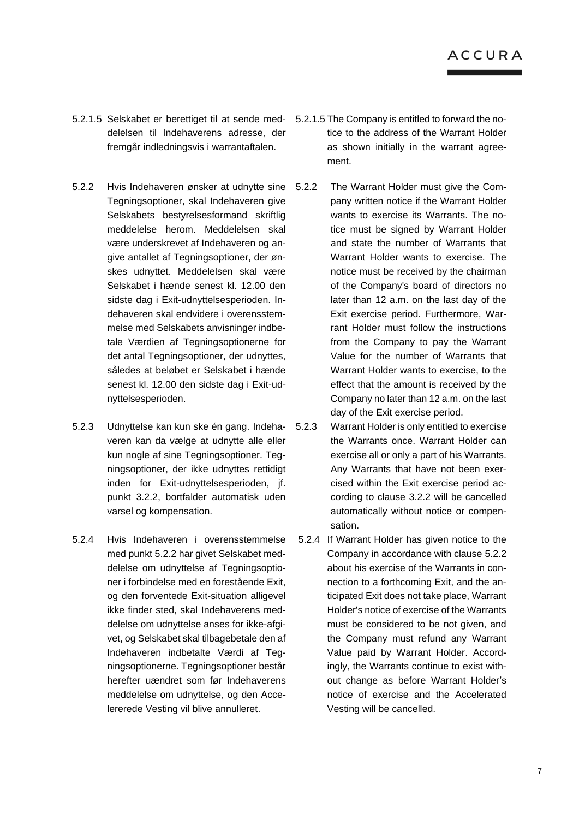- 5.2.1.5 Selskabet er berettiget til at sende med-5.2.1.5 The Company is entitled to forward the nodelelsen til Indehaverens adresse, der fremgår indledningsvis i warrantaftalen.
- 5.2.2 Hvis Indehaveren ønsker at udnytte sine Tegningsoptioner, skal Indehaveren give Selskabets bestyrelsesformand skriftlig meddelelse herom. Meddelelsen skal være underskrevet af Indehaveren og angive antallet af Tegningsoptioner, der ønskes udnyttet. Meddelelsen skal være Selskabet i hænde senest kl. 12.00 den sidste dag i Exit-udnyttelsesperioden. Indehaveren skal endvidere i overensstemmelse med Selskabets anvisninger indbetale Værdien af Tegningsoptionerne for det antal Tegningsoptioner, der udnyttes, således at beløbet er Selskabet i hænde senest kl. 12.00 den sidste dag i Exit-udnyttelsesperioden.
- 5.2.3 Udnyttelse kan kun ske én gang. Indehaveren kan da vælge at udnytte alle eller kun nogle af sine Tegningsoptioner. Tegningsoptioner, der ikke udnyttes rettidigt inden for Exit-udnyttelsesperioden, jf. punkt 3.2.2, bortfalder automatisk uden varsel og kompensation.
- 5.2.4 Hvis Indehaveren i overensstemmelse med punkt 5.2.2 har givet Selskabet meddelelse om udnyttelse af Tegningsoptioner i forbindelse med en forestående Exit, og den forventede Exit-situation alligevel ikke finder sted, skal Indehaverens meddelelse om udnyttelse anses for ikke-afgivet, og Selskabet skal tilbagebetale den af Indehaveren indbetalte Værdi af Tegningsoptionerne. Tegningsoptioner består herefter uændret som før Indehaverens meddelelse om udnyttelse, og den Accelererede Vesting vil blive annulleret.
- tice to the address of the Warrant Holder as shown initially in the warrant agreement.
- The Warrant Holder must give the Company written notice if the Warrant Holder wants to exercise its Warrants. The notice must be signed by Warrant Holder and state the number of Warrants that Warrant Holder wants to exercise. The notice must be received by the chairman of the Company's board of directors no later than 12 a.m. on the last day of the Exit exercise period. Furthermore, Warrant Holder must follow the instructions from the Company to pay the Warrant Value for the number of Warrants that Warrant Holder wants to exercise, to the effect that the amount is received by the Company no later than 12 a.m. on the last day of the Exit exercise period.
- Warrant Holder is only entitled to exercise the Warrants once. Warrant Holder can exercise all or only a part of his Warrants. Any Warrants that have not been exercised within the Exit exercise period according to clause 3.2.2 will be cancelled automatically without notice or compensation.
- 5.2.4 If Warrant Holder has given notice to the Company in accordance with clause 5.2.2 about his exercise of the Warrants in connection to a forthcoming Exit, and the anticipated Exit does not take place, Warrant Holder's notice of exercise of the Warrants must be considered to be not given, and the Company must refund any Warrant Value paid by Warrant Holder. Accordingly, the Warrants continue to exist without change as before Warrant Holder's notice of exercise and the Accelerated Vesting will be cancelled.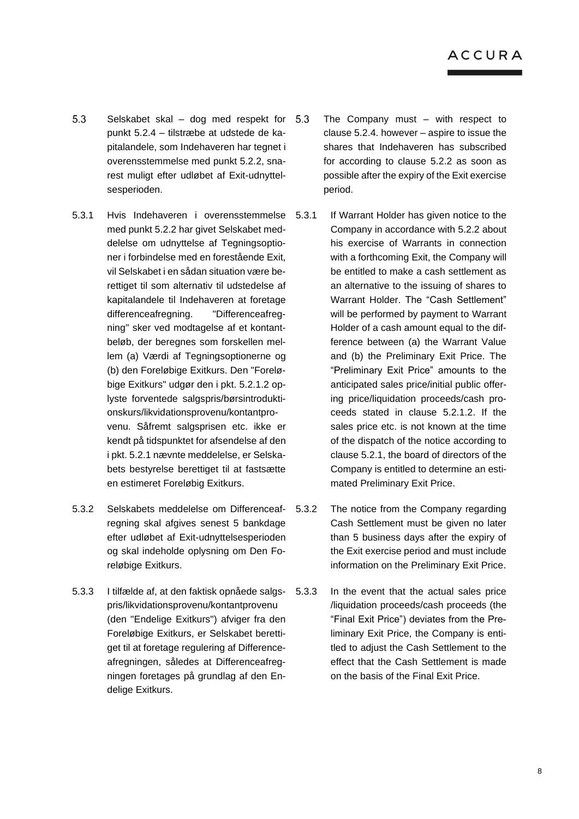- 5.3 Selskabet skal – dog med respekt for punkt 5.2.4 – tilstræbe at udstede de kapitalandele, som Indehaveren har tegnet i overensstemmelse med punkt 5.2.2, snarest muligt efter udløbet af Exit-udnyttelsesperioden.
- 5.3.1 Hvis Indehaveren i overensstemmelse med punkt 5.2.2 har givet Selskabet meddelelse om udnyttelse af Tegningsoptioner i forbindelse med en forestående Exit, vil Selskabet i en sådan situation være berettiget til som alternativ til udstedelse af kapitalandele til Indehaveren at foretage differenceafregning. "Differenceafregning" sker ved modtagelse af et kontantbeløb, der beregnes som forskellen mellem (a) Værdi af Tegningsoptionerne og (b) den Foreløbige Exitkurs. Den "Foreløbige Exitkurs" udgør den i pkt. 5.2.1.2 oplyste forventede salgspris/børsintroduktionskurs/likvidationsprovenu/kontantprovenu. Såfremt salgsprisen etc. ikke er kendt på tidspunktet for afsendelse af den i pkt. 5.2.1 nævnte meddelelse, er Selskabets bestyrelse berettiget til at fastsætte en estimeret Foreløbig Exitkurs.
- 5.3.2 Selskabets meddelelse om Differenceafregning skal afgives senest 5 bankdage efter udløbet af Exit-udnyttelsesperioden og skal indeholde oplysning om Den Foreløbige Exitkurs.
- 5.3.3 I tilfælde af, at den faktisk opnåede salgspris/likvidationsprovenu/kontantprovenu (den "Endelige Exitkurs") afviger fra den Foreløbige Exitkurs, er Selskabet berettiget til at foretage regulering af Differenceafregningen, således at Differenceafregningen foretages på grundlag af den Endelige Exitkurs.
- The Company must with respect to clause 5.2.4. however – aspire to issue the shares that Indehaveren has subscribed for according to clause 5.2.2 as soon as possible after the expiry of the Exit exercise period.
- If Warrant Holder has given notice to the Company in accordance with 5.2.2 about his exercise of Warrants in connection with a forthcoming Exit, the Company will be entitled to make a cash settlement as an alternative to the issuing of shares to Warrant Holder. The "Cash Settlement" will be performed by payment to Warrant Holder of a cash amount equal to the difference between (a) the Warrant Value and (b) the Preliminary Exit Price. The "Preliminary Exit Price" amounts to the anticipated sales price/initial public offering price/liquidation proceeds/cash proceeds stated in clause 5.2.1.2. If the sales price etc. is not known at the time of the dispatch of the notice according to clause 5.2.1, the board of directors of the Company is entitled to determine an estimated Preliminary Exit Price.
- The notice from the Company regarding Cash Settlement must be given no later than 5 business days after the expiry of the Exit exercise period and must include information on the Preliminary Exit Price.
- In the event that the actual sales price /liquidation proceeds/cash proceeds (the "Final Exit Price") deviates from the Preliminary Exit Price, the Company is entitled to adjust the Cash Settlement to the effect that the Cash Settlement is made on the basis of the Final Exit Price.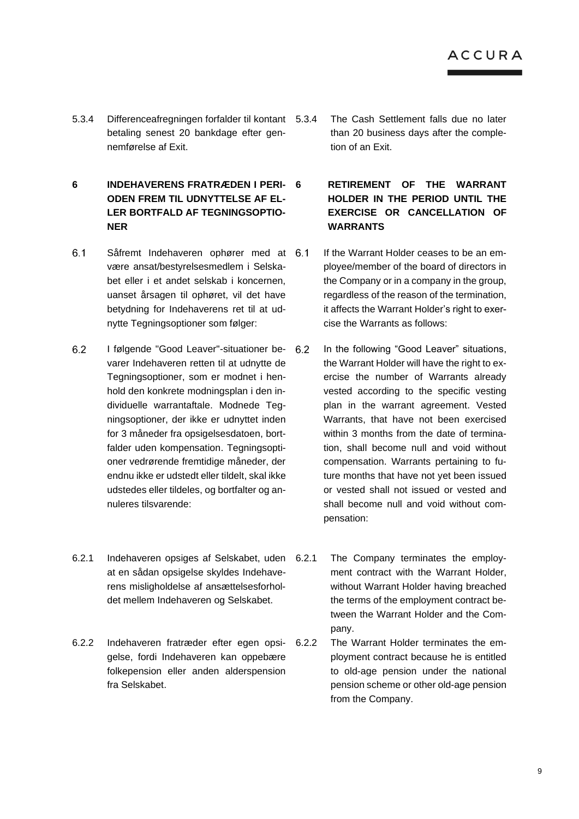- 5.3.4 Differenceafregningen forfalder til kontant betaling senest 20 bankdage efter gennemførelse af Exit.
- **6 INDEHAVERENS FRATRÆDEN I PERI-ODEN FREM TIL UDNYTTELSE AF EL-LER BORTFALD AF TEGNINGSOPTIO-NER**
- $6.1$ Såfremt Indehaveren ophører med at være ansat/bestyrelsesmedlem i Selskabet eller i et andet selskab i koncernen, uanset årsagen til ophøret, vil det have betydning for Indehaverens ret til at udnytte Tegningsoptioner som følger:
- $6.2$ I følgende "Good Leaver"-situationer bevarer Indehaveren retten til at udnytte de Tegningsoptioner, som er modnet i henhold den konkrete modningsplan i den individuelle warrantaftale. Modnede Tegningsoptioner, der ikke er udnyttet inden for 3 måneder fra opsigelsesdatoen, bortfalder uden kompensation. Tegningsoptioner vedrørende fremtidige måneder, der endnu ikke er udstedt eller tildelt, skal ikke udstedes eller tildeles, og bortfalter og annuleres tilsvarende:
- 6.2.1 Indehaveren opsiges af Selskabet, uden at en sådan opsigelse skyldes Indehaverens misligholdelse af ansættelsesforholdet mellem Indehaveren og Selskabet.
- 6.2.2 Indehaveren fratræder efter egen opsigelse, fordi Indehaveren kan oppebære folkepension eller anden alderspension fra Selskabet.
- The Cash Settlement falls due no later than 20 business days after the completion of an Exit.
- **6 RETIREMENT OF THE WARRANT HOLDER IN THE PERIOD UNTIL THE EXERCISE OR CANCELLATION OF WARRANTS**
- If the Warrant Holder ceases to be an employee/member of the board of directors in the Company or in a company in the group, regardless of the reason of the termination, it affects the Warrant Holder's right to exercise the Warrants as follows:
- In the following "Good Leaver" situations, the Warrant Holder will have the right to exercise the number of Warrants already vested according to the specific vesting plan in the warrant agreement. Vested Warrants, that have not been exercised within 3 months from the date of termination, shall become null and void without compensation. Warrants pertaining to future months that have not yet been issued or vested shall not issued or vested and shall become null and void without compensation:
	- The Company terminates the employment contract with the Warrant Holder, without Warrant Holder having breached the terms of the employment contract between the Warrant Holder and the Company.
- The Warrant Holder terminates the employment contract because he is entitled to old-age pension under the national pension scheme or other old-age pension from the Company.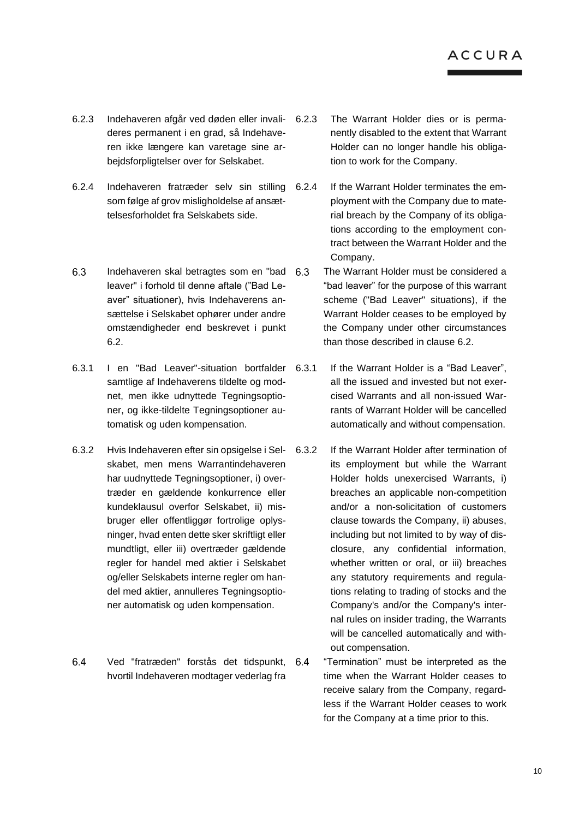- 6.2.3 Indehaveren afgår ved døden eller invalideres permanent i en grad, så Indehaveren ikke længere kan varetage sine arbejdsforpligtelser over for Selskabet.
- 6.2.4 Indehaveren fratræder selv sin stilling som følge af grov misligholdelse af ansættelsesforholdet fra Selskabets side.
- 6.3 Indehaveren skal betragtes som en "bad leaver" i forhold til denne aftale ("Bad Leaver" situationer), hvis Indehaverens ansættelse i Selskabet ophører under andre omstændigheder end beskrevet i punkt 6.2.
- 6.3.1 I en "Bad Leaver"-situation bortfalder samtlige af Indehaverens tildelte og modnet, men ikke udnyttede Tegningsoptioner, og ikke-tildelte Tegningsoptioner automatisk og uden kompensation.
- 6.3.2 Hvis Indehaveren efter sin opsigelse i Selskabet, men mens Warrantindehaveren har uudnyttede Tegningsoptioner, i) overtræder en gældende konkurrence eller kundeklausul overfor Selskabet, ii) misbruger eller offentliggør fortrolige oplysninger, hvad enten dette sker skriftligt eller mundtligt, eller iii) overtræder gældende regler for handel med aktier i Selskabet og/eller Selskabets interne regler om handel med aktier, annulleres Tegningsoptioner automatisk og uden kompensation.
- 6.4 Ved "fratræden" forstås det tidspunkt, hvortil Indehaveren modtager vederlag fra
- The Warrant Holder dies or is permanently disabled to the extent that Warrant Holder can no longer handle his obligation to work for the Company.
- If the Warrant Holder terminates the employment with the Company due to material breach by the Company of its obligations according to the employment contract between the Warrant Holder and the Company.
- The Warrant Holder must be considered a "bad leaver" for the purpose of this warrant scheme ("Bad Leaver" situations), if the Warrant Holder ceases to be employed by the Company under other circumstances than those described in clause 6.2.
- If the Warrant Holder is a "Bad Leaver", all the issued and invested but not exercised Warrants and all non-issued Warrants of Warrant Holder will be cancelled automatically and without compensation.
- If the Warrant Holder after termination of its employment but while the Warrant Holder holds unexercised Warrants, i) breaches an applicable non-competition and/or a non-solicitation of customers clause towards the Company, ii) abuses, including but not limited to by way of disclosure, any confidential information, whether written or oral, or iii) breaches any statutory requirements and regulations relating to trading of stocks and the Company's and/or the Company's internal rules on insider trading, the Warrants will be cancelled automatically and without compensation.
	- "Termination" must be interpreted as the time when the Warrant Holder ceases to receive salary from the Company, regardless if the Warrant Holder ceases to work for the Company at a time prior to this.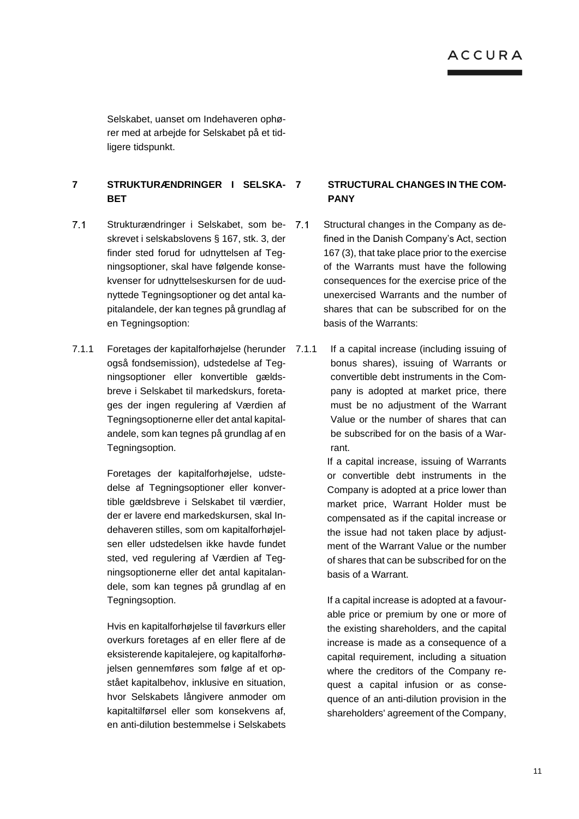Selskabet, uanset om Indehaveren ophører med at arbejde for Selskabet på et tidligere tidspunkt.

# **7 STRUKTURÆNDRINGER I SELSKA-BET**

- $7.1$ Strukturændringer i Selskabet, som beskrevet i selskabslovens § 167, stk. 3, der finder sted forud for udnyttelsen af Tegningsoptioner, skal have følgende konsekvenser for udnyttelseskursen for de uudnyttede Tegningsoptioner og det antal kapitalandele, der kan tegnes på grundlag af en Tegningsoption:
- <span id="page-10-0"></span>7.1.1 Foretages der kapitalforhøjelse (herunder også fondsemission), udstedelse af Tegningsoptioner eller konvertible gældsbreve i Selskabet til markedskurs, foretages der ingen regulering af Værdien af Tegningsoptionerne eller det antal kapitalandele, som kan tegnes på grundlag af en Tegningsoption.

Foretages der kapitalforhøjelse, udstedelse af Tegningsoptioner eller konvertible gældsbreve i Selskabet til værdier, der er lavere end markedskursen, skal Indehaveren stilles, som om kapitalforhøjelsen eller udstedelsen ikke havde fundet sted, ved regulering af Værdien af Tegningsoptionerne eller det antal kapitalandele, som kan tegnes på grundlag af en Tegningsoption.

Hvis en kapitalforhøjelse til favørkurs eller overkurs foretages af en eller flere af de eksisterende kapitalejere, og kapitalforhøjelsen gennemføres som følge af et opstået kapitalbehov, inklusive en situation, hvor Selskabets långivere anmoder om kapitaltilførsel eller som konsekvens af, en anti-dilution bestemmelse i Selskabets

# **7 STRUCTURAL CHANGES IN THE COM-PANY**

- Structural changes in the Company as defined in the Danish Company's Act, section 167 (3), that take place prior to the exercise of the Warrants must have the following consequences for the exercise price of the unexercised Warrants and the number of shares that can be subscribed for on the basis of the Warrants:
- If a capital increase (including issuing of bonus shares), issuing of Warrants or convertible debt instruments in the Company is adopted at market price, there must be no adjustment of the Warrant Value or the number of shares that can be subscribed for on the basis of a Warrant.

If a capital increase, issuing of Warrants or convertible debt instruments in the Company is adopted at a price lower than market price, Warrant Holder must be compensated as if the capital increase or the issue had not taken place by adjustment of the Warrant Value or the number of shares that can be subscribed for on the basis of a Warrant.

If a capital increase is adopted at a favourable price or premium by one or more of the existing shareholders, and the capital increase is made as a consequence of a capital requirement, including a situation where the creditors of the Company request a capital infusion or as consequence of an anti-dilution provision in the shareholders' agreement of the Company,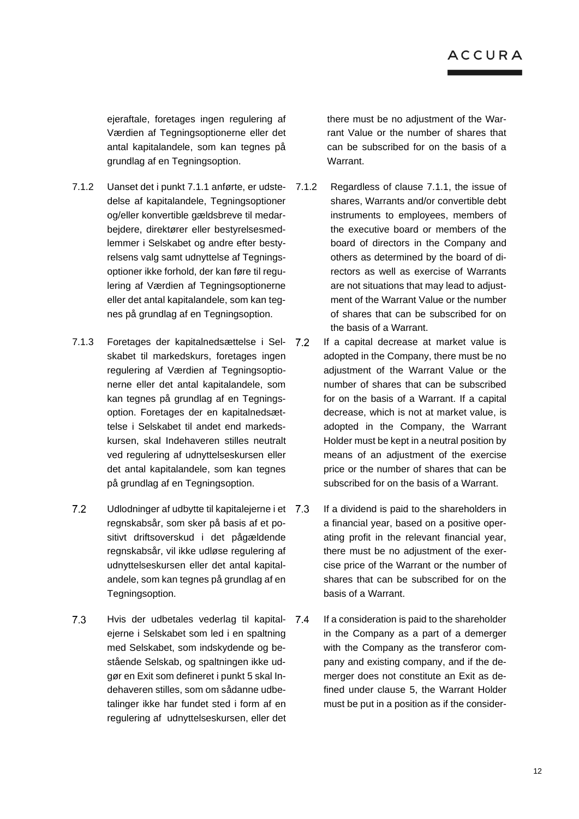ejeraftale, foretages ingen regulering af Værdien af Tegningsoptionerne eller det antal kapitalandele, som kan tegnes på grundlag af en Tegningsoption.

- 7.1.2 Uanset det i punkt [7.1.1](#page-10-0) anførte, er udstedelse af kapitalandele, Tegningsoptioner og/eller konvertible gældsbreve til medarbejdere, direktører eller bestyrelsesmedlemmer i Selskabet og andre efter bestyrelsens valg samt udnyttelse af Tegningsoptioner ikke forhold, der kan føre til regulering af Værdien af Tegningsoptionerne eller det antal kapitalandele, som kan tegnes på grundlag af en Tegningsoption.
- 7.1.3 Foretages der kapitalnedsættelse i Selskabet til markedskurs, foretages ingen regulering af Værdien af Tegningsoptionerne eller det antal kapitalandele, som kan tegnes på grundlag af en Tegningsoption. Foretages der en kapitalnedsættelse i Selskabet til andet end markedskursen, skal Indehaveren stilles neutralt ved regulering af udnyttelseskursen eller det antal kapitalandele, som kan tegnes på grundlag af en Tegningsoption.
- $7.2$ Udlodninger af udbytte til kapitalejerne i et 7.3 regnskabsår, som sker på basis af et positivt driftsoverskud i det pågældende regnskabsår, vil ikke udløse regulering af udnyttelseskursen eller det antal kapitalandele, som kan tegnes på grundlag af en Tegningsoption.
- $7.3$ Hvis der udbetales vederlag til kapital- 7.4 ejerne i Selskabet som led i en spaltning med Selskabet, som indskydende og bestående Selskab, og spaltningen ikke udgør en Exit som defineret i punkt 5 skal Indehaveren stilles, som om sådanne udbetalinger ikke har fundet sted i form af en regulering af udnyttelseskursen, eller det

there must be no adjustment of the Warrant Value or the number of shares that can be subscribed for on the basis of a Warrant.

- Regardless of clause 7.1.1, the issue of shares, Warrants and/or convertible debt instruments to employees, members of the executive board or members of the board of directors in the Company and others as determined by the board of directors as well as exercise of Warrants are not situations that may lead to adjustment of the Warrant Value or the number of shares that can be subscribed for on the basis of a Warrant.
- If a capital decrease at market value is adopted in the Company, there must be no adjustment of the Warrant Value or the number of shares that can be subscribed for on the basis of a Warrant. If a capital decrease, which is not at market value, is adopted in the Company, the Warrant Holder must be kept in a neutral position by means of an adjustment of the exercise price or the number of shares that can be subscribed for on the basis of a Warrant.
- If a dividend is paid to the shareholders in a financial year, based on a positive operating profit in the relevant financial year, there must be no adjustment of the exercise price of the Warrant or the number of shares that can be subscribed for on the basis of a Warrant.
- If a consideration is paid to the shareholder in the Company as a part of a demerger with the Company as the transferor company and existing company, and if the demerger does not constitute an Exit as defined under clause 5, the Warrant Holder must be put in a position as if the consider-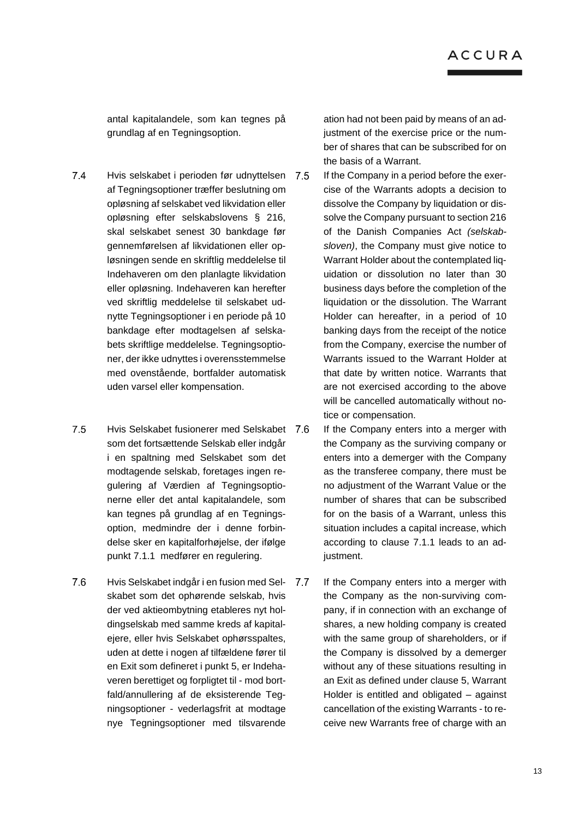antal kapitalandele, som kan tegnes på grundlag af en Tegningsoption.

- $7.4$ Hvis selskabet i perioden før udnyttelsen af Tegningsoptioner træffer beslutning om opløsning af selskabet ved likvidation eller opløsning efter selskabslovens § 216, skal selskabet senest 30 bankdage før gennemførelsen af likvidationen eller opløsningen sende en skriftlig meddelelse til Indehaveren om den planlagte likvidation eller opløsning. Indehaveren kan herefter ved skriftlig meddelelse til selskabet udnytte Tegningsoptioner i en periode på 10 bankdage efter modtagelsen af selskabets skriftlige meddelelse. Tegningsoptioner, der ikke udnyttes i overensstemmelse med ovenstående, bortfalder automatisk uden varsel eller kompensation.
- $7.5$ Hvis Selskabet fusionerer med Selskabet som det fortsættende Selskab eller indgår i en spaltning med Selskabet som det modtagende selskab, foretages ingen regulering af Værdien af Tegningsoptionerne eller det antal kapitalandele, som kan tegnes på grundlag af en Tegningsoption, medmindre der i denne forbindelse sker en kapitalforhøjelse, der ifølge punkt [7.1.1](#page-10-0) medfører en regulering.
- $7.6$ Hvis Selskabet indgår i en fusion med Selskabet som det ophørende selskab, hvis der ved aktieombytning etableres nyt holdingselskab med samme kreds af kapitalejere, eller hvis Selskabet ophørsspaltes, uden at dette i nogen af tilfældene fører til en Exit som defineret i punkt 5, er Indehaveren berettiget og forpligtet til - mod bortfald/annullering af de eksisterende Tegningsoptioner - vederlagsfrit at modtage nye Tegningsoptioner med tilsvarende

ation had not been paid by means of an adjustment of the exercise price or the number of shares that can be subscribed for on the basis of a Warrant.

- If the Company in a period before the exercise of the Warrants adopts a decision to dissolve the Company by liquidation or dissolve the Company pursuant to section 216 of the Danish Companies Act *(selskabsloven)*, the Company must give notice to Warrant Holder about the contemplated liquidation or dissolution no later than 30 business days before the completion of the liquidation or the dissolution. The Warrant Holder can hereafter, in a period of 10 banking days from the receipt of the notice from the Company, exercise the number of Warrants issued to the Warrant Holder at that date by written notice. Warrants that are not exercised according to the above will be cancelled automatically without notice or compensation.
- If the Company enters into a merger with the Company as the surviving company or enters into a demerger with the Company as the transferee company, there must be no adjustment of the Warrant Value or the number of shares that can be subscribed for on the basis of a Warrant, unless this situation includes a capital increase, which according to clause 7.1.1 leads to an adjustment.
- If the Company enters into a merger with the Company as the non-surviving company, if in connection with an exchange of shares, a new holding company is created with the same group of shareholders, or if the Company is dissolved by a demerger without any of these situations resulting in an Exit as defined under clause 5, Warrant Holder is entitled and obligated – against cancellation of the existing Warrants - to receive new Warrants free of charge with an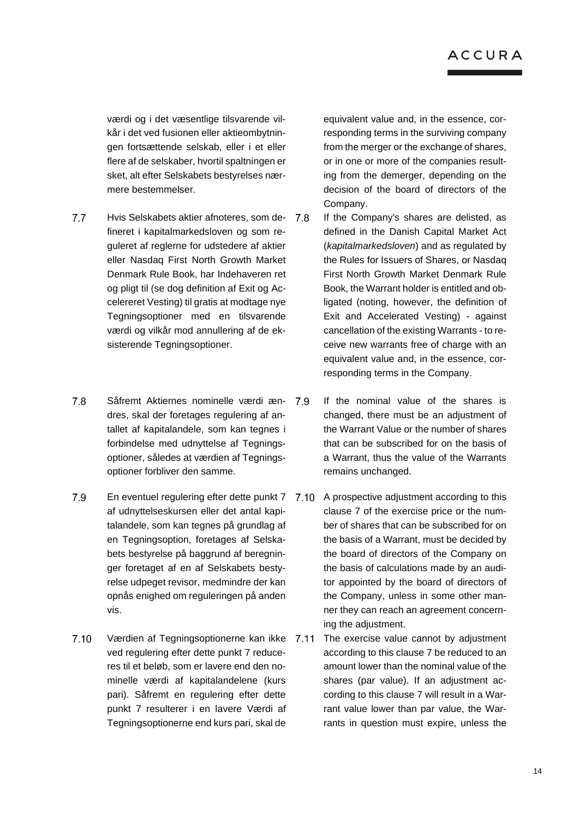værdi og i det væsentlige tilsvarende vilkår i det ved fusionen eller aktieombytningen fortsættende selskab, eller i et eller flere af de selskaber, hvortil spaltningen er sket, alt efter Selskabets bestyrelses nærmere bestemmelser.

- $7.7$ Hvis Selskabets aktier afnoteres, som de- 7.8 fineret i kapitalmarkedsloven og som reguleret af reglerne for udstedere af aktier eller Nasdaq First North Growth Market Denmark Rule Book, har Indehaveren ret og pligt til (se dog definition af Exit og Accelereret Vesting) til gratis at modtage nye Tegningsoptioner med en tilsvarende værdi og vilkår mod annullering af de eksisterende Tegningsoptioner.
- $7.8$ Såfremt Aktiernes nominelle værdi æn- 7.9 dres, skal der foretages regulering af antallet af kapitalandele, som kan tegnes i forbindelse med udnyttelse af Tegningsoptioner, således at værdien af Tegningsoptioner forbliver den samme.
- 7.9 af udnyttelseskursen eller det antal kapitalandele, som kan tegnes på grundlag af en Tegningsoption, foretages af Selskabets bestyrelse på baggrund af beregninger foretaget af en af Selskabets bestyrelse udpeget revisor, medmindre der kan opnås enighed om reguleringen på anden vis.
- $7.10$ Værdien af Tegningsoptionerne kan ikke ved regulering efter dette punkt 7 reduceres til et beløb, som er lavere end den nominelle værdi af kapitalandelene (kurs pari). Såfremt en regulering efter dette punkt 7 resulterer i en lavere Værdi af Tegningsoptionerne end kurs pari, skal de

equivalent value and, in the essence, corresponding terms in the surviving company from the merger or the exchange of shares, or in one or more of the companies resulting from the demerger, depending on the decision of the board of directors of the Company.

- If the Company's shares are delisted, as defined in the Danish Capital Market Act (*kapitalmarkedsloven*) and as regulated by the Rules for Issuers of Shares, or Nasdaq First North Growth Market Denmark Rule Book, the Warrant holder is entitled and obligated (noting, however, the definition of Exit and Accelerated Vesting) - against cancellation of the existing Warrants - to receive new warrants free of charge with an equivalent value and, in the essence, corresponding terms in the Company.
- If the nominal value of the shares is changed, there must be an adjustment of the Warrant Value or the number of shares that can be subscribed for on the basis of a Warrant, thus the value of the Warrants remains unchanged.
- En eventuel regulering efter dette punkt 7 A prospective adjustment according to this clause 7 of the exercise price or the number of shares that can be subscribed for on the basis of a Warrant, must be decided by the board of directors of the Company on the basis of calculations made by an auditor appointed by the board of directors of the Company, unless in some other manner they can reach an agreement concerning the adjustment.
	- The exercise value cannot by adjustment according to this clause 7 be reduced to an amount lower than the nominal value of the shares (par value). If an adjustment according to this clause 7 will result in a Warrant value lower than par value, the Warrants in question must expire, unless the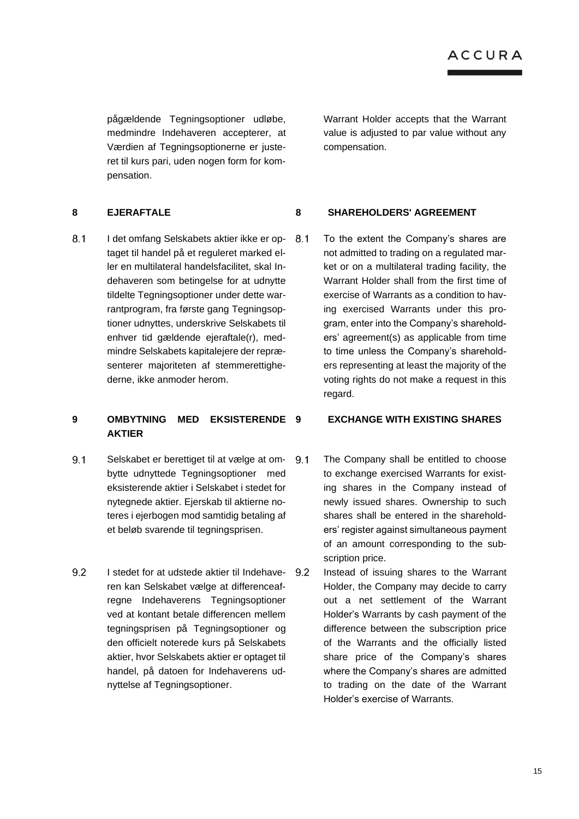pågældende Tegningsoptioner udløbe, medmindre Indehaveren accepterer, at Værdien af Tegningsoptionerne er justeret til kurs pari, uden nogen form for kompensation.

 $8.1$ I det omfang Selskabets aktier ikke er op- 8.1 taget til handel på et reguleret marked eller en multilateral handelsfacilitet, skal Indehaveren som betingelse for at udnytte tildelte Tegningsoptioner under dette warrantprogram, fra første gang Tegningsoptioner udnyttes, underskrive Selskabets til enhver tid gældende ejeraftale(r), medmindre Selskabets kapitalejere der repræsenterer majoriteten af stemmerettighederne, ikke anmoder herom.

# **9 OMBYTNING MED EKSISTERENDE AKTIER**

- $9.1$ Selskabet er berettiget til at vælge at ombytte udnyttede Tegningsoptioner med eksisterende aktier i Selskabet i stedet for nytegnede aktier. Ejerskab til aktierne noteres i ejerbogen mod samtidig betaling af et beløb svarende til tegningsprisen.
- $9.2$ I stedet for at udstede aktier til Indehaveren kan Selskabet vælge at differenceafregne Indehaverens Tegningsoptioner ved at kontant betale differencen mellem tegningsprisen på Tegningsoptioner og den officielt noterede kurs på Selskabets aktier, hvor Selskabets aktier er optaget til handel, på datoen for Indehaverens udnyttelse af Tegningsoptioner.

Warrant Holder accepts that the Warrant value is adjusted to par value without any compensation.

### **8 EJERAFTALE 8 SHAREHOLDERS' AGREEMENT**

To the extent the Company's shares are not admitted to trading on a regulated market or on a multilateral trading facility, the Warrant Holder shall from the first time of exercise of Warrants as a condition to having exercised Warrants under this program, enter into the Company's shareholders' agreement(s) as applicable from time to time unless the Company's shareholders representing at least the majority of the voting rights do not make a request in this regard.

# **9 EXCHANGE WITH EXISTING SHARES**

- The Company shall be entitled to choose to exchange exercised Warrants for existing shares in the Company instead of newly issued shares. Ownership to such shares shall be entered in the shareholders' register against simultaneous payment of an amount corresponding to the subscription price.
- Instead of issuing shares to the Warrant Holder, the Company may decide to carry out a net settlement of the Warrant Holder's Warrants by cash payment of the difference between the subscription price of the Warrants and the officially listed share price of the Company's shares where the Company's shares are admitted to trading on the date of the Warrant Holder's exercise of Warrants.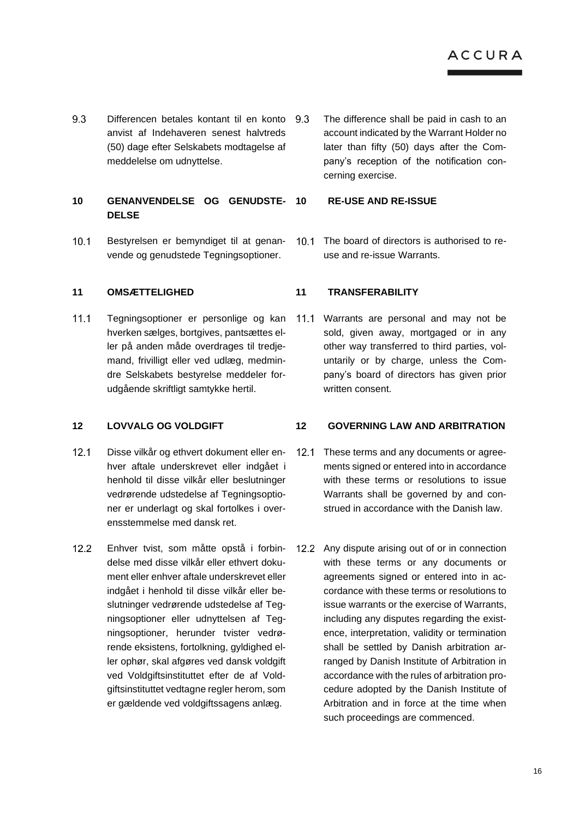9.3 Differencen betales kontant til en konto 9.3 anvist af Indehaveren senest halvtreds (50) dage efter Selskabets modtagelse af meddelelse om udnyttelse.

# **10 GENANVENDELSE OG GENUDSTE-DELSE**

 $10.1$ Bestyrelsen er bemyndiget til at genanvende og genudstede Tegningsoptioner.

# **11 OMSÆTTELIGHED 11 TRANSFERABILITY**

 $11.1$ Tegningsoptioner er personlige og kan hverken sælges, bortgives, pantsættes eller på anden måde overdrages til tredjemand, frivilligt eller ved udlæg, medmindre Selskabets bestyrelse meddeler forudgående skriftligt samtykke hertil.

- $12.1$ Disse vilkår og ethvert dokument eller en- 12.1 hver aftale underskrevet eller indgået i henhold til disse vilkår eller beslutninger vedrørende udstedelse af Tegningsoptioner er underlagt og skal fortolkes i overensstemmelse med dansk ret.
- $12.2$ Enhver tvist, som måtte opstå i forbindelse med disse vilkår eller ethvert dokument eller enhver aftale underskrevet eller indgået i henhold til disse vilkår eller beslutninger vedrørende udstedelse af Tegningsoptioner eller udnyttelsen af Tegningsoptioner, herunder tvister vedrørende eksistens, fortolkning, gyldighed eller ophør, skal afgøres ved dansk voldgift ved Voldgiftsinstituttet efter de af Voldgiftsinstituttet vedtagne regler herom, som er gældende ved voldgiftssagens anlæg.

The difference shall be paid in cash to an account indicated by the Warrant Holder no later than fifty (50) days after the Company's reception of the notification concerning exercise.

### **10 RE-USE AND RE-ISSUE**

10.1 The board of directors is authorised to reuse and re-issue Warrants.

Warrants are personal and may not be  $11.1$ sold, given away, mortgaged or in any other way transferred to third parties, voluntarily or by charge, unless the Company's board of directors has given prior written consent.

# **12 LOVVALG OG VOLDGIFT 12 GOVERNING LAW AND ARBITRATION**

- These terms and any documents or agreements signed or entered into in accordance with these terms or resolutions to issue Warrants shall be governed by and construed in accordance with the Danish law.
- 12.2 Any dispute arising out of or in connection with these terms or any documents or agreements signed or entered into in accordance with these terms or resolutions to issue warrants or the exercise of Warrants, including any disputes regarding the existence, interpretation, validity or termination shall be settled by Danish arbitration arranged by Danish Institute of Arbitration in accordance with the rules of arbitration procedure adopted by the Danish Institute of Arbitration and in force at the time when such proceedings are commenced.